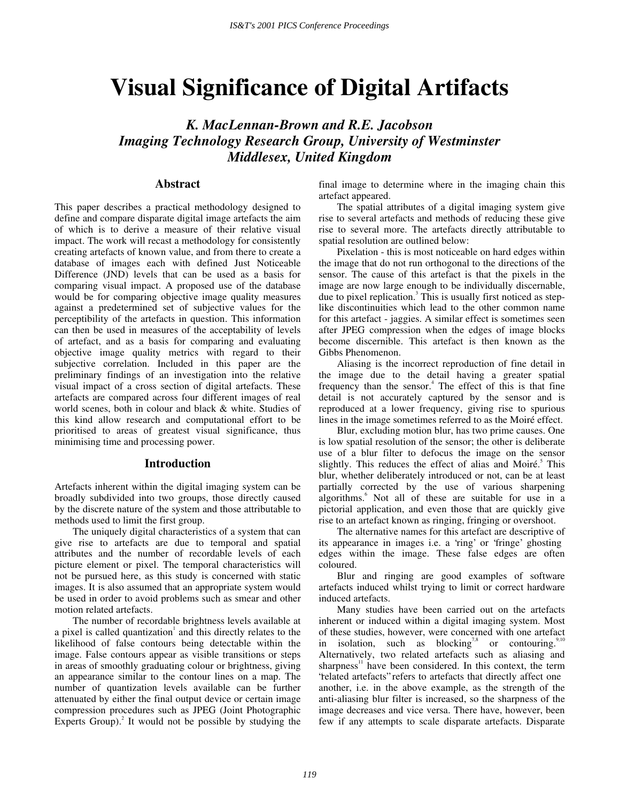# **Visual Significance of Digital Artifacts**

*K. MacLennan-Brown and R.E. Jacobson Imaging Technology Research Group, University of Westminster Middlesex, United Kingdom* 

### **Abstract**

This paper describes a practical methodology designed to define and compare disparate digital image artefacts the aim of which is to derive a measure of their relative visual impact. The work will recast a methodology for consistently creating artefacts of known value, and from there to create a database of images each with defined Just Noticeable Difference (JND) levels that can be used as a basis for comparing visual impact. A proposed use of the database would be for comparing objective image quality measures against a predetermined set of subjective values for the perceptibility of the artefacts in question. This information can then be used in measures of the acceptability of levels of artefact, and as a basis for comparing and evaluating objective image quality metrics with regard to their subjective correlation. Included in this paper are the preliminary findings of an investigation into the relative visual impact of a cross section of digital artefacts. These artefacts are compared across four different images of real world scenes, both in colour and black & white. Studies of this kind allow research and computational effort to be prioritised to areas of greatest visual significance, thus minimising time and processing power.

#### **Introduction**

Artefacts inherent within the digital imaging system can be broadly subdivided into two groups, those directly caused by the discrete nature of the system and those attributable to methods used to limit the first group.

The uniquely digital characteristics of a system that can give rise to artefacts are due to temporal and spatial attributes and the number of recordable levels of each picture element or pixel. The temporal characteristics will not be pursued here, as this study is concerned with static images. It is also assumed that an appropriate system would be used in order to avoid problems such as smear and other motion related artefacts.

The number of recordable brightness levels available at a pixel is called quantization<sup>1</sup> and this directly relates to the likelihood of false contours being detectable within the image. False contours appear as visible transitions or steps in areas of smoothly graduating colour or brightness, giving an appearance similar to the contour lines on a map. The number of quantization levels available can be further attenuated by either the final output device or certain image compression procedures such as JPEG (Joint Photographic Experts Group). $^{2}$  It would not be possible by studying the final image to determine where in the imaging chain this artefact appeared.

The spatial attributes of a digital imaging system give rise to several artefacts and methods of reducing these give rise to several more. The artefacts directly attributable to spatial resolution are outlined below:

Pixelation - this is most noticeable on hard edges within the image that do not run orthogonal to the directions of the sensor. The cause of this artefact is that the pixels in the image are now large enough to be individually discernable, due to pixel replication.<sup>3</sup> This is usually first noticed as steplike discontinuities which lead to the other common name for this artefact - jaggies. A similar effect is sometimes seen after JPEG compression when the edges of image blocks become discernible. This artefact is then known as the Gibbs Phenomenon.

Aliasing is the incorrect reproduction of fine detail in the image due to the detail having a greater spatial frequency than the sensor.<sup>4</sup> The effect of this is that fine detail is not accurately captured by the sensor and is reproduced at a lower frequency, giving rise to spurious lines in the image sometimes referred to as the Moiré effect.

Blur, excluding motion blur, has two prime causes. One is low spatial resolution of the sensor; the other is deliberate use of a blur filter to defocus the image on the sensor slightly. This reduces the effect of alias and Moiré.<sup>5</sup> This blur, whether deliberately introduced or not, can be at least partially corrected by the use of various sharpening algorithms.<sup>6</sup> Not all of these are suitable for use in a pictorial application, and even those that are quickly give rise to an artefact known as ringing, fringing or overshoot.

The alternative names for this artefact are descriptive of its appearance in images i.e. a 'ring' or 'fringe' ghosting edges within the image. These false edges are often coloured.

Blur and ringing are good examples of software artefacts induced whilst trying to limit or correct hardware induced artefacts.

Many studies have been carried out on the artefacts inherent or induced within a digital imaging system. Most of these studies, however, were concerned with one artefact in isolation, such as blocking<sup>7,8</sup> or contouring.<sup>9,10</sup> Alternatively, two related artefacts such as aliasing and sharpness $\mu$  have been considered. In this context, the term "related artefacts" refers to artefacts that directly affect one another, i.e. in the above example, as the strength of the anti-aliasing blur filter is increased, so the sharpness of the image decreases and vice versa. There have, however, been few if any attempts to scale disparate artefacts. Disparate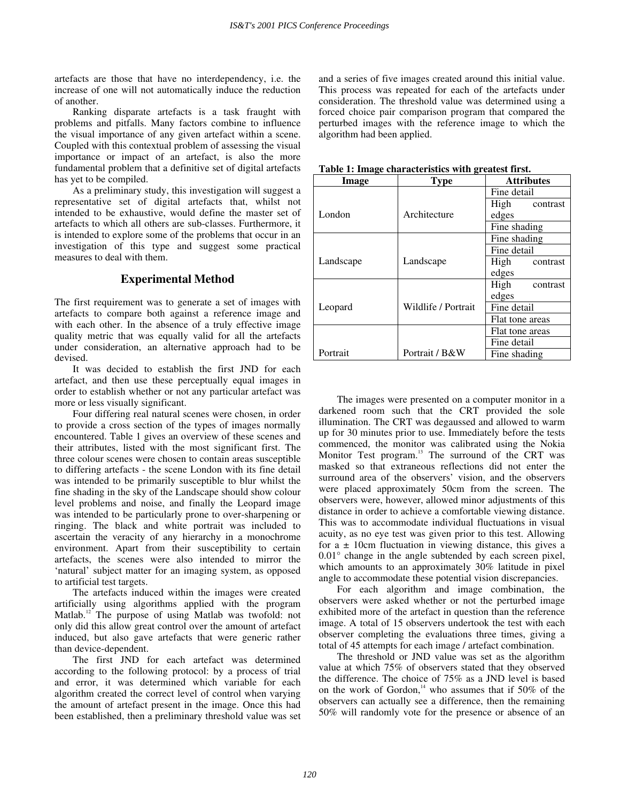artefacts are those that have no interdependency, i.e. the increase of one will not automatically induce the reduction of another.

Ranking disparate artefacts is a task fraught with problems and pitfalls. Many factors combine to influence the visual importance of any given artefact within a scene. Coupled with this contextual problem of assessing the visual importance or impact of an artefact, is also the more fundamental problem that a definitive set of digital artefacts has yet to be compiled.

As a preliminary study, this investigation will suggest a representative set of digital artefacts that, whilst not intended to be exhaustive, would define the master set of artefacts to which all others are sub-classes. Furthermore, it is intended to explore some of the problems that occur in an investigation of this type and suggest some practical measures to deal with them.

# **Experimental Method**

The first requirement was to generate a set of images with artefacts to compare both against a reference image and with each other. In the absence of a truly effective image quality metric that was equally valid for all the artefacts under consideration, an alternative approach had to be devised.

It was decided to establish the first JND for each artefact, and then use these perceptually equal images in order to establish whether or not any particular artefact was more or less visually significant.

Four differing real natural scenes were chosen, in order to provide a cross section of the types of images normally encountered. Table 1 gives an overview of these scenes and their attributes, listed with the most significant first. The three colour scenes were chosen to contain areas susceptible to differing artefacts - the scene London with its fine detail was intended to be primarily susceptible to blur whilst the fine shading in the sky of the Landscape should show colour level problems and noise, and finally the Leopard image was intended to be particularly prone to over-sharpening or ringing. The black and white portrait was included to ascertain the veracity of any hierarchy in a monochrome environment. Apart from their susceptibility to certain artefacts, the scenes were also intended to mirror the 'natural' subject matter for an imaging system, as opposed to artificial test targets.

The artefacts induced within the images were created artificially using algorithms applied with the program Matlab.<sup>12</sup> The purpose of using Matlab was twofold: not only did this allow great control over the amount of artefact induced, but also gave artefacts that were generic rather than device-dependent.

The first JND for each artefact was determined according to the following protocol: by a process of trial and error, it was determined which variable for each algorithm created the correct level of control when varying the amount of artefact present in the image. Once this had been established, then a preliminary threshold value was set and a series of five images created around this initial value. This process was repeated for each of the artefacts under consideration. The threshold value was determined using a forced choice pair comparison program that compared the perturbed images with the reference image to which the algorithm had been applied.

| Table 1: Image characteristics with greatest first. |                     |                   |  |
|-----------------------------------------------------|---------------------|-------------------|--|
| Image                                               | <b>Type</b>         | <b>Attributes</b> |  |
|                                                     |                     | Fine detail       |  |
|                                                     |                     | High<br>contrast  |  |
| London                                              | Architecture        | edges             |  |
|                                                     |                     | Fine shading      |  |
|                                                     |                     | Fine shading      |  |
|                                                     |                     | Fine detail       |  |
| Landscape                                           | Landscape           | High<br>contrast  |  |
|                                                     |                     | edges             |  |
|                                                     |                     | High<br>contrast  |  |
|                                                     |                     | edges             |  |
| Leopard                                             | Wildlife / Portrait | Fine detail       |  |
|                                                     |                     | Flat tone areas   |  |
|                                                     |                     | Flat tone areas   |  |
|                                                     |                     | Fine detail       |  |
| Portrait                                            | Portrait / B&W      | Fine shading      |  |

**Table 1: Image characteristics with greatest first.** 

The images were presented on a computer monitor in a darkened room such that the CRT provided the sole illumination. The CRT was degaussed and allowed to warm up for 30 minutes prior to use. Immediately before the tests commenced, the monitor was calibrated using the Nokia Monitor Test program.<sup>13</sup> The surround of the CRT was masked so that extraneous reflections did not enter the surround area of the observers' vision, and the observers were placed approximately 50cm from the screen. The observers were, however, allowed minor adjustments of this distance in order to achieve a comfortable viewing distance. This was to accommodate individual fluctuations in visual acuity, as no eye test was given prior to this test. Allowing for  $a \pm 10$ cm fluctuation in viewing distance, this gives a 0.01° change in the angle subtended by each screen pixel, which amounts to an approximately 30% latitude in pixel angle to accommodate these potential vision discrepancies.

For each algorithm and image combination, the observers were asked whether or not the perturbed image exhibited more of the artefact in question than the reference image. A total of 15 observers undertook the test with each observer completing the evaluations three times, giving a total of 45 attempts for each image / artefact combination.

The threshold or JND value was set as the algorithm value at which 75% of observers stated that they observed the difference. The choice of 75% as a JND level is based on the work of Gordon, $^{14}$  who assumes that if 50% of the observers can actually see a difference, then the remaining 50% will randomly vote for the presence or absence of an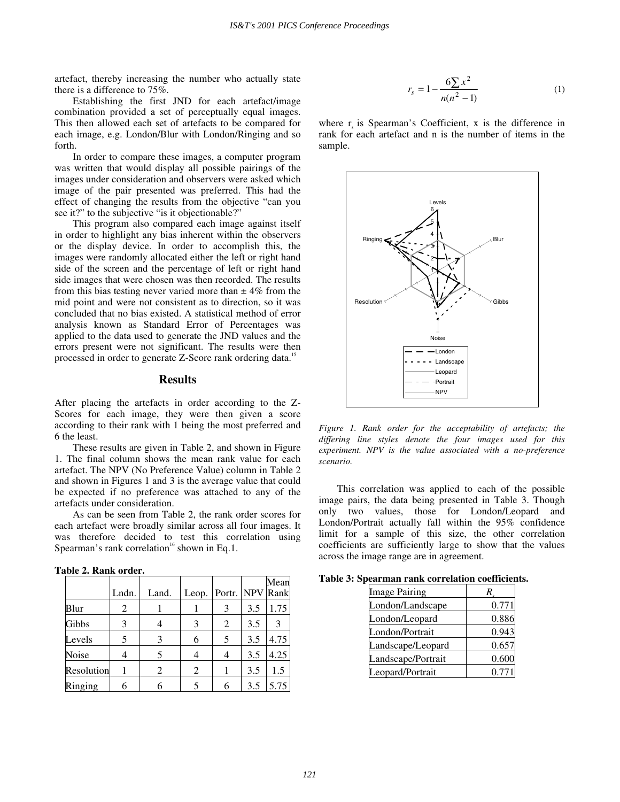artefact, thereby increasing the number who actually state there is a difference to 75%.

Establishing the first JND for each artefact/image combination provided a set of perceptually equal images. This then allowed each set of artefacts to be compared for each image, e.g. London/Blur with London/Ringing and so forth.

In order to compare these images, a computer program was written that would display all possible pairings of the images under consideration and observers were asked which image of the pair presented was preferred. This had the effect of changing the results from the objective "can you see it?" to the subjective "is it objectionable?"

This program also compared each image against itself in order to highlight any bias inherent within the observers or the display device. In order to accomplish this, the images were randomly allocated either the left or right hand side of the screen and the percentage of left or right hand side images that were chosen was then recorded. The results from this bias testing never varied more than  $\pm$  4% from the mid point and were not consistent as to direction, so it was concluded that no bias existed. A statistical method of error analysis known as Standard Error of Percentages was applied to the data used to generate the JND values and the errors present were not significant. The results were then processed in order to generate Z-Score rank ordering data.<sup>15</sup>

#### **Results**

After placing the artefacts in order according to the Z-Scores for each image, they were then given a score according to their rank with 1 being the most preferred and 6 the least.

These results are given in Table 2, and shown in Figure 1. The final column shows the mean rank value for each artefact. The NPV (No Preference Value) column in Table 2 and shown in Figures 1 and 3 is the average value that could be expected if no preference was attached to any of the artefacts under consideration.

As can be seen from Table 2, the rank order scores for each artefact were broadly similar across all four images. It was therefore decided to test this correlation using Spearman's rank correlation<sup>16</sup> shown in Eq.1.

|  | Table 2. Rank order. |
|--|----------------------|
|  |                      |

|            | Lndn. | Land. | Leop. | Portr. NPV Rank |     | Mean |
|------------|-------|-------|-------|-----------------|-----|------|
| Blur       | 2     |       |       | 3               | 3.5 | 1.75 |
| Gibbs      | 3     |       | 3     | 2               | 3.5 | 3    |
| Levels     | 5     | 3     | 6     | 5               | 3.5 | 4.75 |
| Noise      |       |       |       |                 | 3.5 | 4.25 |
| Resolution |       | 2     | 2     |                 | 3.5 | 1.5  |
| Ringing    | 6     |       |       |                 | 3.5 | 5.75 |

$$
r_s = 1 - \frac{6\sum x^2}{n(n^2 - 1)}\tag{1}
$$

where  $r_s$  is Spearman's Coefficient, x is the difference in rank for each artefact and n is the number of items in the sample.



*Figure 1. Rank order for the acceptability of artefacts; the differing line styles denote the four images used for this experiment. NPV is the value associated with a no-preference scenario.* 

This correlation was applied to each of the possible image pairs, the data being presented in Table 3. Though only two values, those for London/Leopard and London/Portrait actually fall within the 95% confidence limit for a sample of this size, the other correlation coefficients are sufficiently large to show that the values across the image range are in agreement.

**Table 3: Spearman rank correlation coefficients.** 

| <b>Image Pairing</b> |       |
|----------------------|-------|
| London/Landscape     | 0.771 |
| London/Leopard       | 0.886 |
| London/Portrait      | 0.943 |
| Landscape/Leopard    | 0.657 |
| Landscape/Portrait   | 0.600 |
| Leopard/Portrait     | 0.771 |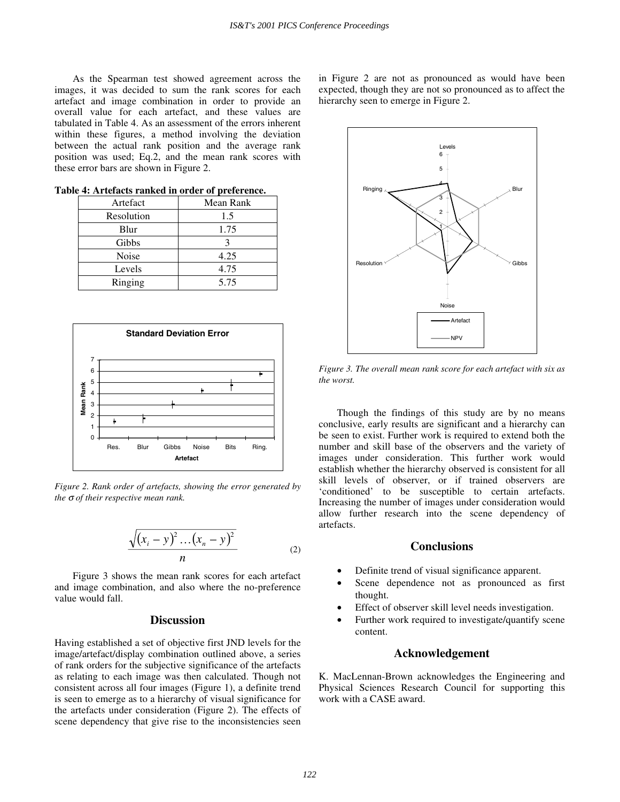As the Spearman test showed agreement across the images, it was decided to sum the rank scores for each artefact and image combination in order to provide an overall value for each artefact, and these values are tabulated in Table 4. As an assessment of the errors inherent within these figures, a method involving the deviation between the actual rank position and the average rank position was used; Eq.2, and the mean rank scores with these error bars are shown in Figure 2.

| Artefact   | Mean Rank |
|------------|-----------|
| Resolution | 1.5       |
| Blur       | 1.75      |
| Gibbs      |           |
| Noise      | 4.25      |
| Levels     | 4.75      |
| Ringing    | 5.75      |

**Table 4: Artefacts ranked in order of preference.**



*Figure 2. Rank order of artefacts, showing the error generated by the* σ *of their respective mean rank.* 

$$
\frac{\sqrt{(x_i - y)^2 \dots (x_n - y)^2}}{n} \tag{2}
$$

Figure 3 shows the mean rank scores for each artefact and image combination, and also where the no-preference value would fall.

## **Discussion**

Having established a set of objective first JND levels for the image/artefact/display combination outlined above, a series of rank orders for the subjective significance of the artefacts as relating to each image was then calculated. Though not consistent across all four images (Figure 1), a definite trend is seen to emerge as to a hierarchy of visual significance for the artefacts under consideration (Figure 2). The effects of scene dependency that give rise to the inconsistencies seen

in Figure 2 are not as pronounced as would have been expected, though they are not so pronounced as to affect the hierarchy seen to emerge in Figure 2.



*Figure 3. The overall mean rank score for each artefact with six as the worst.* 

Though the findings of this study are by no means conclusive, early results are significant and a hierarchy can be seen to exist. Further work is required to extend both the number and skill base of the observers and the variety of images under consideration. This further work would establish whether the hierarchy observed is consistent for all skill levels of observer, or if trained observers are 'conditioned' to be susceptible to certain artefacts. Increasing the number of images under consideration would allow further research into the scene dependency of artefacts.

## **Conclusions**

- Definite trend of visual significance apparent.
- Scene dependence not as pronounced as first thought.
- Effect of observer skill level needs investigation.
- Further work required to investigate/quantify scene content.

#### **Acknowledgement**

K. MacLennan-Brown acknowledges the Engineering and Physical Sciences Research Council for supporting this work with a CASE award.